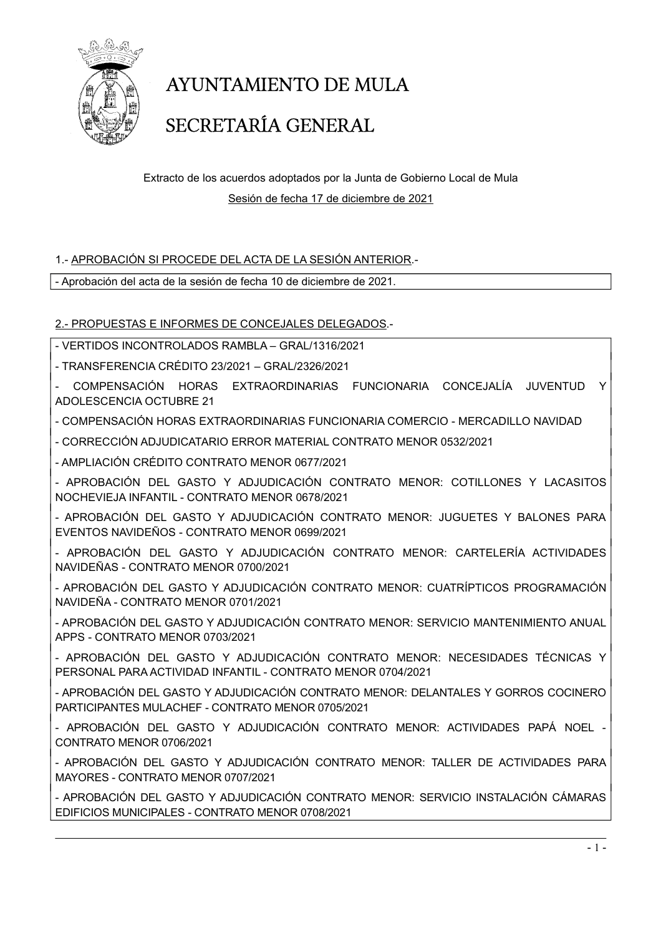

# AYUNTAMIENTO DE MULA SECRETARÍA GENERAL

#### Extracto de los acuerdos adoptados por la Junta de Gobierno Local de Mula Sesión de fecha 17 de diciembre de 2021

#### 1.- APROBACIÓN SI PROCEDE DEL ACTA DE LA SESIÓN ANTERIOR.-

- Aprobación del acta de la sesión de fecha 10 de diciembre de 2021.

2.- PROPUESTAS E INFORMES DE CONCEJALES DELEGADOS.-

- VERTIDOS INCONTROLADOS RAMBLA – GRAL/1316/2021

- TRANSFERENCIA CRÉDITO 23/2021 – GRAL/2326/2021

- COMPENSACIÓN HORAS EXTRAORDINARIAS FUNCIONARIA CONCEJALÍA JUVENTUD Y ADOLESCENCIA OCTUBRE 21

- COMPENSACIÓN HORAS EXTRAORDINARIAS FUNCIONARIA COMERCIO - MERCADILLO NAVIDAD

- CORRECCIÓN ADJUDICATARIO ERROR MATERIAL CONTRATO MENOR 0532/2021

- AMPLIACIÓN CRÉDITO CONTRATO MENOR 0677/2021

- APROBACIÓN DEL GASTO Y ADJUDICACIÓN CONTRATO MENOR: COTILLONES Y LACASITOS NOCHEVIEJA INFANTIL - CONTRATO MENOR 0678/2021

- APROBACIÓN DEL GASTO Y ADJUDICACIÓN CONTRATO MENOR: JUGUETES Y BALONES PARA EVENTOS NAVIDEÑOS - CONTRATO MENOR 0699/2021

- APROBACIÓN DEL GASTO Y ADJUDICACIÓN CONTRATO MENOR: CARTELERÍA ACTIVIDADES NAVIDEÑAS - CONTRATO MENOR 0700/2021

- APROBACIÓN DEL GASTO Y ADJUDICACIÓN CONTRATO MENOR: CUATRÍPTICOS PROGRAMACIÓN NAVIDEÑA - CONTRATO MENOR 0701/2021

- APROBACIÓN DEL GASTO Y ADJUDICACIÓN CONTRATO MENOR: SERVICIO MANTENIMIENTO ANUAL APPS - CONTRATO MENOR 0703/2021

- APROBACIÓN DEL GASTO Y ADJUDICACIÓN CONTRATO MENOR: NECESIDADES TÉCNICAS Y PERSONAL PARA ACTIVIDAD INFANTIL - CONTRATO MENOR 0704/2021

- APROBACIÓN DEL GASTO Y ADJUDICACIÓN CONTRATO MENOR: DELANTALES Y GORROS COCINERO PARTICIPANTES MULACHEF - CONTRATO MENOR 0705/2021

- APROBACIÓN DEL GASTO Y ADJUDICACIÓN CONTRATO MENOR: ACTIVIDADES PAPÁ NOEL - CONTRATO MENOR 0706/2021

- APROBACIÓN DEL GASTO Y ADJUDICACIÓN CONTRATO MENOR: TALLER DE ACTIVIDADES PARA MAYORES - CONTRATO MENOR 0707/2021

- APROBACIÓN DEL GASTO Y ADJUDICACIÓN CONTRATO MENOR: SERVICIO INSTALACIÓN CÁMARAS EDIFICIOS MUNICIPALES - CONTRATO MENOR 0708/2021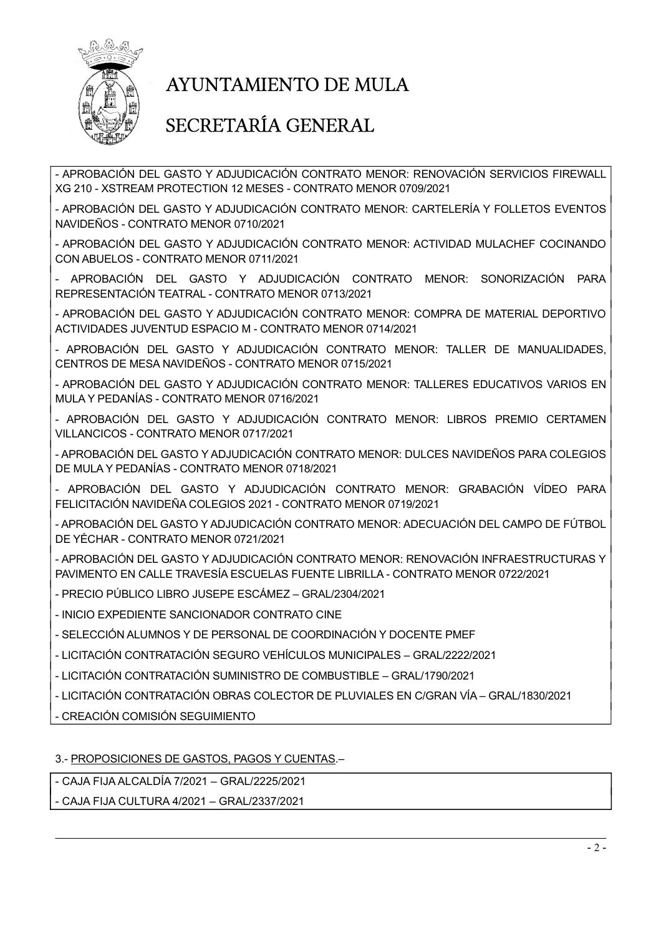

### AYUNTAMIENTO DE MULA

#### SECRETARÍA GENERAL

- APROBACIÓN DEL GASTO Y ADJUDICACIÓN CONTRATO MENOR: RENOVACIÓN SERVICIOS FIREWALL XG 210 - XSTREAM PROTECTION 12 MESES - CONTRATO MENOR 0709/2021

- APROBACIÓN DEL GASTO Y ADJUDICACIÓN CONTRATO MENOR: CARTELERÍA Y FOLLETOS EVENTOS NAVIDEÑOS - CONTRATO MENOR 0710/2021

- APROBACIÓN DEL GASTO Y ADJUDICACIÓN CONTRATO MENOR: ACTIVIDAD MULACHEF COCINANDO CON ABUELOS - CONTRATO MENOR 0711/2021

- APROBACIÓN DEL GASTO Y ADJUDICACIÓN CONTRATO MENOR: SONORIZACIÓN PARA REPRESENTACIÓN TEATRAL - CONTRATO MENOR 0713/2021

- APROBACIÓN DEL GASTO Y ADJUDICACIÓN CONTRATO MENOR: COMPRA DE MATERIAL DEPORTIVO ACTIVIDADES JUVENTUD ESPACIO M - CONTRATO MENOR 0714/2021

- APROBACIÓN DEL GASTO Y ADJUDICACIÓN CONTRATO MENOR: TALLER DE MANUALIDADES, CENTROS DE MESA NAVIDEÑOS - CONTRATO MENOR 0715/2021

- APROBACIÓN DEL GASTO Y ADJUDICACIÓN CONTRATO MENOR: TALLERES EDUCATIVOS VARIOS EN MULA Y PEDANÍAS - CONTRATO MENOR 0716/2021

- APROBACIÓN DEL GASTO Y ADJUDICACIÓN CONTRATO MENOR: LIBROS PREMIO CERTAMEN VILLANCICOS - CONTRATO MENOR 0717/2021

- APROBACIÓN DEL GASTO Y ADJUDICACIÓN CONTRATO MENOR: DULCES NAVIDEÑOS PARA COLEGIOS DE MULA Y PEDANÍAS - CONTRATO MENOR 0718/2021

- APROBACIÓN DEL GASTO Y ADJUDICACIÓN CONTRATO MENOR: GRABACIÓN VÍDEO PARA FELICITACIÓN NAVIDEÑA COLEGIOS 2021 - CONTRATO MENOR 0719/2021

- APROBACIÓN DEL GASTO Y ADJUDICACIÓN CONTRATO MENOR: ADECUACIÓN DEL CAMPO DE FÚTBOL DE YÉCHAR - CONTRATO MENOR 0721/2021

- APROBACIÓN DEL GASTO Y ADJUDICACIÓN CONTRATO MENOR: RENOVACIÓN INFRAESTRUCTURAS Y PAVIMENTO EN CALLE TRAVESÍA ESCUELAS FUENTE LIBRILLA - CONTRATO MENOR 0722/2021

- PRECIO PÚBLICO LIBRO JUSEPE ESCÁMEZ – GRAL/2304/2021

- INICIO EXPEDIENTE SANCIONADOR CONTRATO CINE

- SELECCIÓN ALUMNOS Y DE PERSONAL DE COORDINACIÓN Y DOCENTE PMEF

- LICITACIÓN CONTRATACIÓN SEGURO VEHÍCULOS MUNICIPALES – GRAL/2222/2021

- LICITACIÓN CONTRATACIÓN SUMINISTRO DE COMBUSTIBLE – GRAL/1790/2021

- LICITACIÓN CONTRATACIÓN OBRAS COLECTOR DE PLUVIALES EN C/GRAN VÍA – GRAL/1830/2021

- CREACIÓN COMISIÓN SEGUIMIENTO

#### 3.- PROPOSICIONES DE GASTOS, PAGOS Y CUENTAS.–

- CAJA FIJA ALCALDÍA 7/2021 – GRAL/2225/2021

- CAJA FIJA CULTURA 4/2021 – GRAL/2337/2021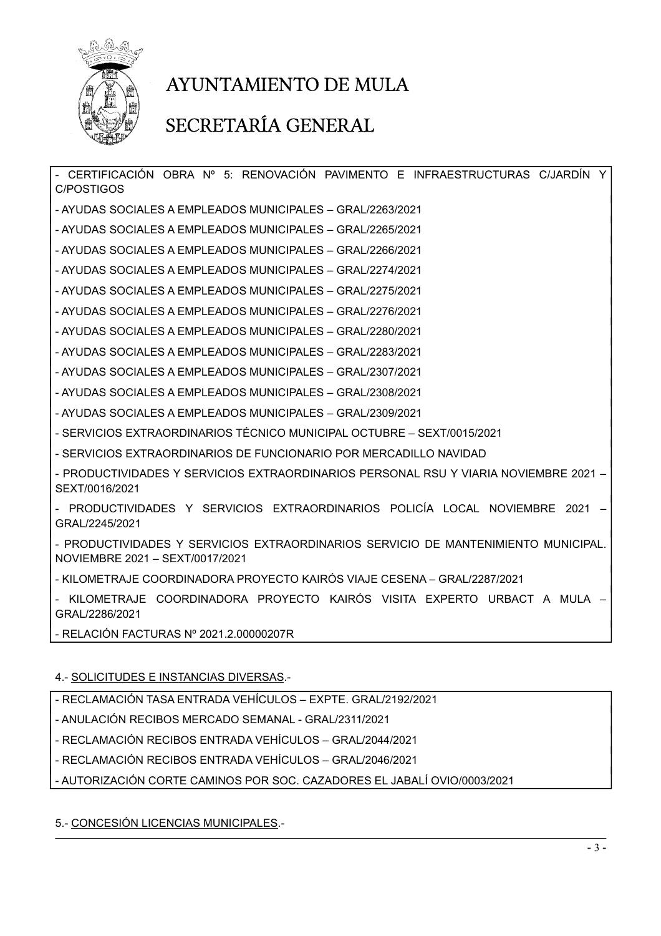

### AYUNTAMIENTO DE MULA

#### SECRETARÍA GENERAL

- CERTIFICACIÓN OBRA Nº 5: RENOVACIÓN PAVIMENTO E INFRAESTRUCTURAS C/JARDÍN C/POSTIGOS - AYUDAS SOCIALES A EMPLEADOS MUNICIPALES – GRAL/2263/2021

- AYUDAS SOCIALES A EMPLEADOS MUNICIPALES – GRAL/2265/2021

- AYUDAS SOCIALES A EMPLEADOS MUNICIPALES – GRAL/2266/2021

- AYUDAS SOCIALES A EMPLEADOS MUNICIPALES – GRAL/2274/2021

- AYUDAS SOCIALES A EMPLEADOS MUNICIPALES – GRAL/2275/2021

- AYUDAS SOCIALES A EMPLEADOS MUNICIPALES – GRAL/2276/2021

- AYUDAS SOCIALES A EMPLEADOS MUNICIPALES – GRAL/2280/2021

- AYUDAS SOCIALES A EMPLEADOS MUNICIPALES – GRAL/2283/2021

- AYUDAS SOCIALES A EMPLEADOS MUNICIPALES – GRAL/2307/2021

- AYUDAS SOCIALES A EMPLEADOS MUNICIPALES – GRAL/2308/2021

- AYUDAS SOCIALES A EMPLEADOS MUNICIPALES – GRAL/2309/2021

- SERVICIOS EXTRAORDINARIOS TÉCNICO MUNICIPAL OCTUBRE – SEXT/0015/2021

- SERVICIOS EXTRAORDINARIOS DE FUNCIONARIO POR MERCADILLO NAVIDAD

- PRODUCTIVIDADES Y SERVICIOS EXTRAORDINARIOS PERSONAL RSU Y VIARIA NOVIEMBRE 2021 – SEXT/0016/2021

- PRODUCTIVIDADES Y SERVICIOS EXTRAORDINARIOS POLICÍA LOCAL NOVIEMBRE 2021 – GRAL/2245/2021

- PRODUCTIVIDADES Y SERVICIOS EXTRAORDINARIOS SERVICIO DE MANTENIMIENTO MUNICIPAL. NOVIEMBRE 2021 – SEXT/0017/2021

- KILOMETRAJE COORDINADORA PROYECTO KAIRÓS VIAJE CESENA – GRAL/2287/2021

- KILOMETRAJE COORDINADORA PROYECTO KAIRÓS VISITA EXPERTO URBACT A MULA – GRAL/2286/2021

- RELACIÓN FACTURAS Nº 2021.2.00000207R

#### 4.- SOLICITUDES E INSTANCIAS DIVERSAS.-

- RECLAMACIÓN TASA ENTRADA VEHÍCULOS – EXPTE. GRAL/2192/2021

- ANULACIÓN RECIBOS MERCADO SEMANAL - GRAL/2311/2021

- RECLAMACIÓN RECIBOS ENTRADA VEHÍCULOS – GRAL/2044/2021

- RECLAMACIÓN RECIBOS ENTRADA VEHÍCULOS – GRAL/2046/2021

- AUTORIZACIÓN CORTE CAMINOS POR SOC. CAZADORES EL JABALÍ OVIO/0003/2021

5.- CONCESIÓN LICENCIAS MUNICIPALES.-